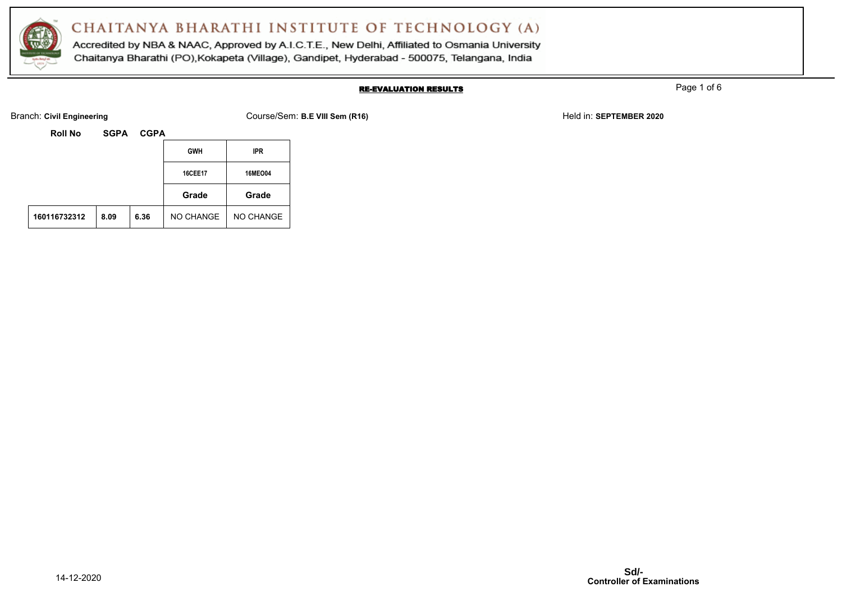

Accredited by NBA & NAAC, Approved by A.I.C.T.E., New Delhi, Affiliated to Osmania University Chaitanya Bharathi (PO), Kokapeta (Village), Gandipet, Hyderabad - 500075, Telangana, India

### RE-EVALUATION RESULTS

Page 1 of 6

Branch: Civil Engineering **COULSE ARE VIII Sem (R16)** Branch: Course/Sem: **B.E VIII Sem (R16)** Held in: **SEPTEMBER 2020** 

| <b>Roll No</b> | <b>SGPA</b> | <b>CGPA</b> |                |                |
|----------------|-------------|-------------|----------------|----------------|
|                |             |             | <b>GWH</b>     | <b>IPR</b>     |
|                |             |             | <b>16CEE17</b> | <b>16MEO04</b> |
|                |             |             | Grade          | Grade          |
| 160116732312   | 8.09        | 6.36        | NO CHANGE      | NO CHANGE      |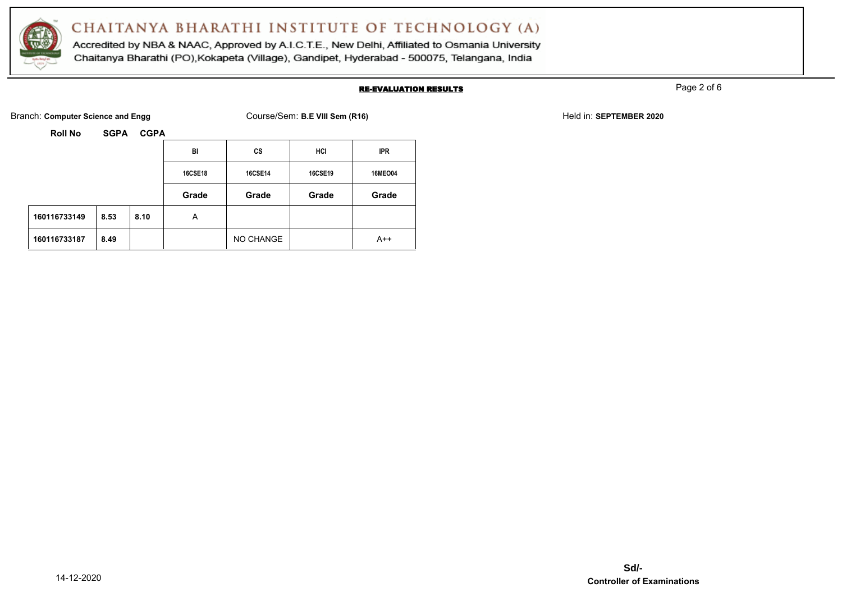

Accredited by NBA & NAAC, Approved by A.I.C.T.E., New Delhi, Affiliated to Osmania University Chaitanya Bharathi (PO), Kokapeta (Village), Gandipet, Hyderabad - 500075, Telangana, India

### RE-EVALUATION RESULTS

Page 2 of 6

Branch: **Computer Science and Engg Course/Sem: B.E VIII Sem (R16)** Held in: **SEPTEMBER 2020** Held in: **SEPTEMBER 2020** 

**Roll No SGPA CGPA**

| <b>Roll No</b><br><b>SGPA</b><br><b>CGPA</b> |      |      |                |                |         |                |  |
|----------------------------------------------|------|------|----------------|----------------|---------|----------------|--|
|                                              |      |      | BI             | CS             | HCI     | <b>IPR</b>     |  |
|                                              |      |      | <b>16CSE18</b> | <b>16CSE14</b> | 16CSE19 | <b>16MEO04</b> |  |
|                                              |      |      | Grade          | Grade          | Grade   | Grade          |  |
| 160116733149                                 | 8.53 | 8.10 | A              |                |         |                |  |
| 160116733187                                 | 8.49 |      |                | NO CHANGE      |         | $A++$          |  |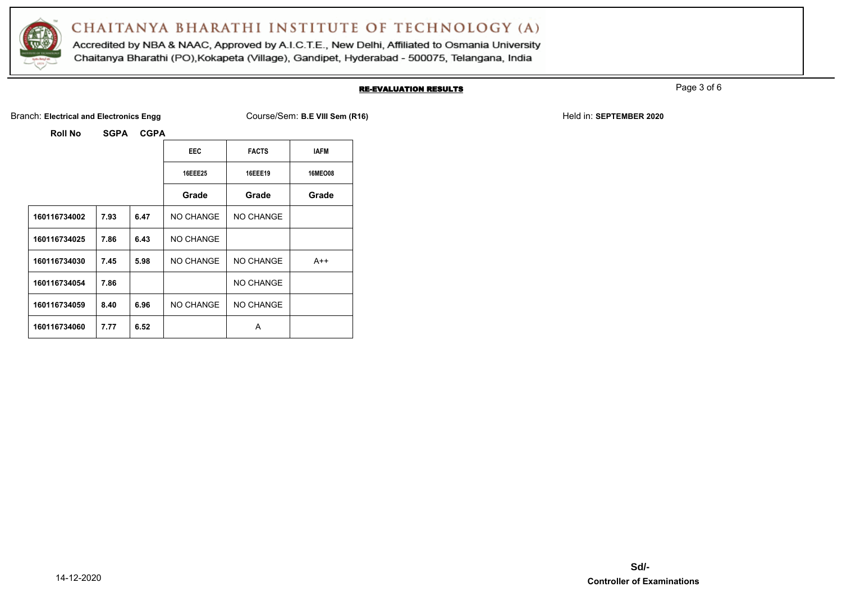

Accredited by NBA & NAAC, Approved by A.I.C.T.E., New Delhi, Affiliated to Osmania University Chaitanya Bharathi (PO), Kokapeta (Village), Gandipet, Hyderabad - 500075, Telangana, India

### RE-EVALUATION RESULTS

Page 3 of 6

Branch: Electrical and Electronics Engg **Course/Sem: B.E VIII Sem (R16)** Held in: **SEPTEMBER 2020** Held in: **SEPTEMBER 2020** 

**Roll No SGPA CGPA**

|              |      |      | <b>EEC</b>     | <b>FACTS</b> | IAFM           |
|--------------|------|------|----------------|--------------|----------------|
|              |      |      | <b>16EEE25</b> | 16EEE19      | <b>16MEO08</b> |
|              |      |      | Grade          | Grade        | Grade          |
| 160116734002 | 7.93 | 6.47 | NO CHANGE      | NO CHANGE    |                |
| 160116734025 | 7.86 | 6.43 | NO CHANGE      |              |                |
| 160116734030 | 7.45 | 5.98 | NO CHANGE      | NO CHANGE    | $A++$          |
| 160116734054 | 7.86 |      |                | NO CHANGE    |                |
| 160116734059 | 8.40 | 6.96 | NO CHANGE      | NO CHANGE    |                |
| 160116734060 | 7.77 | 6.52 |                | A            |                |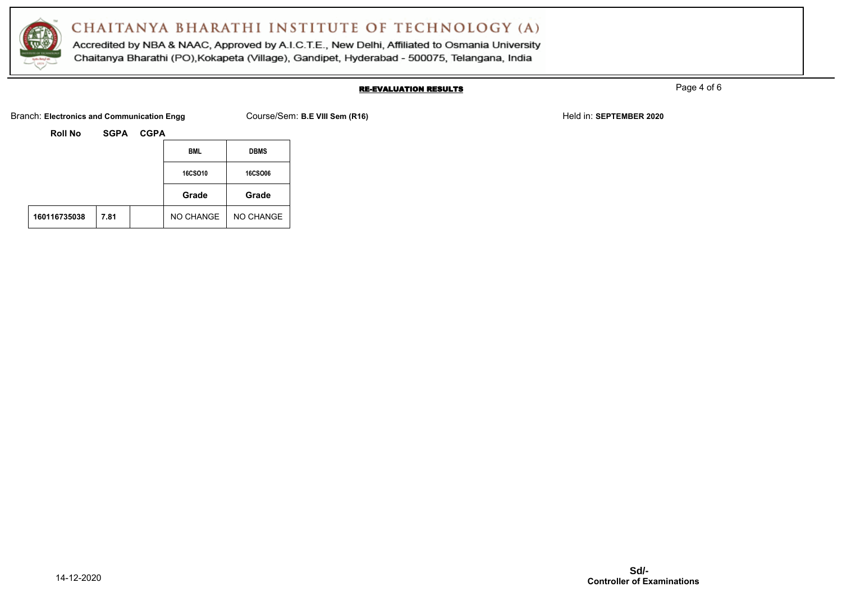

Accredited by NBA & NAAC, Approved by A.I.C.T.E., New Delhi, Affiliated to Osmania University Chaitanya Bharathi (PO), Kokapeta (Village), Gandipet, Hyderabad - 500075, Telangana, India

### RE-EVALUATION RESULTS

Page 4 of 6

Branch: **Electronics and Communication Engg Course/Sem: B.E VIII Sem (R16) Held in: <b>SEPTEMBER 2020** Held in: **SEPTEMBER 2020** 

| <b>Roll No</b> | <b>SGPA</b> | <b>CGPA</b> |
|----------------|-------------|-------------|
|                |             |             |

|              |      | <b>BML</b> | <b>DBMS</b>    |                |
|--------------|------|------------|----------------|----------------|
|              |      |            | <b>16CSO10</b> | <b>16CSO06</b> |
|              |      |            | Grade          | Grade          |
| 160116735038 | 7.81 |            | NO CHANGE      | NO CHANGE      |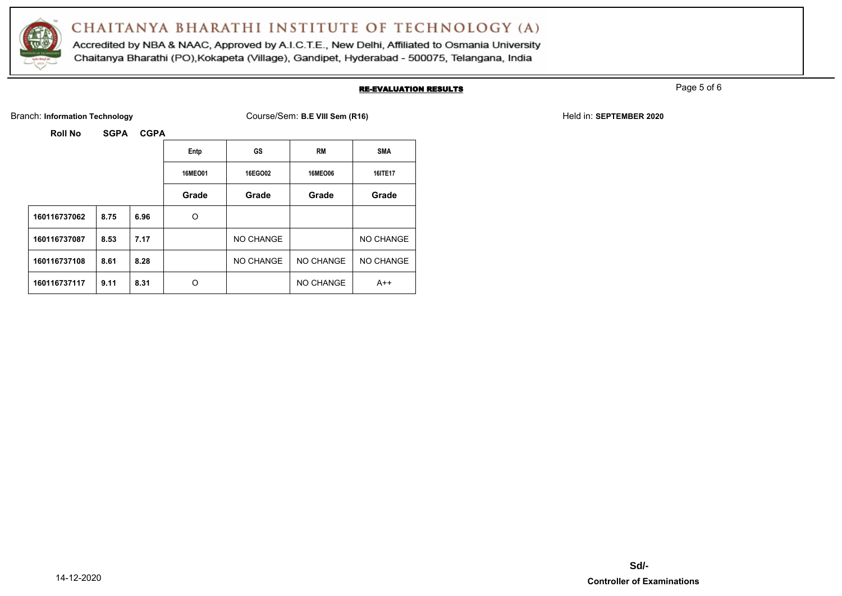

Accredited by NBA & NAAC, Approved by A.I.C.T.E., New Delhi, Affiliated to Osmania University Chaitanya Bharathi (PO), Kokapeta (Village), Gandipet, Hyderabad - 500075, Telangana, India

### RE-EVALUATION RESULTS

Page 5 of 6

Branch: Information Technology **Course/Sem: B.E VIII Sem (R16)** Held in: **SEPTEMBER 2020** Held in: **SEPTEMBER 2020** 

**Roll No SGPA CGPA**

|              |      |      | Entp           | GS        | <b>RM</b>      | <b>SMA</b>       |
|--------------|------|------|----------------|-----------|----------------|------------------|
|              |      |      | <b>16MEO01</b> | 16EGO02   | <b>16MEO06</b> | 16ITE17          |
|              |      |      | Grade          | Grade     | Grade          | Grade            |
| 160116737062 | 8.75 | 6.96 | O              |           |                |                  |
| 160116737087 | 8.53 | 7.17 |                | NO CHANGE |                | NO CHANGE        |
| 160116737108 | 8.61 | 8.28 |                | NO CHANGE | NO CHANGE      | <b>NO CHANGE</b> |
| 160116737117 | 9.11 | 8.31 | O              |           | NO CHANGE      | $A++$            |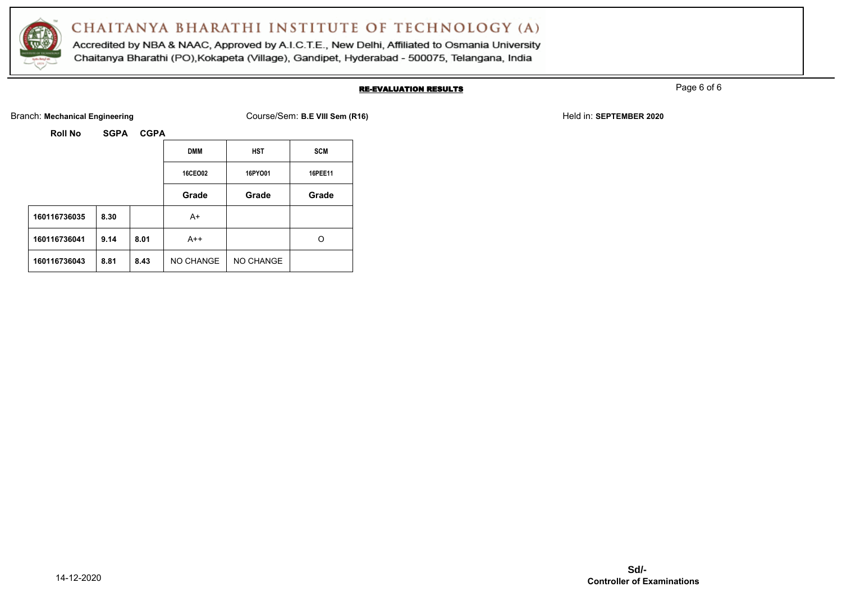

Accredited by NBA & NAAC, Approved by A.I.C.T.E., New Delhi, Affiliated to Osmania University Chaitanya Bharathi (PO), Kokapeta (Village), Gandipet, Hyderabad - 500075, Telangana, India

### RE-EVALUATION RESULTS

Page 6 of 6

Branch: Mechanical Engineering **Course/Sem: B.E VIII Sem (R16)** Held in: **SEPTEMBER 2020** Held in: **SEPTEMBER 2020** 

| <b>Roll No</b> | <b>SGPA</b> | <b>CGPA</b> |
|----------------|-------------|-------------|
|                |             |             |

|              |      | <b>DMM</b> | <b>HST</b> | <b>SCM</b> |         |
|--------------|------|------------|------------|------------|---------|
|              |      |            | 16CEO02    | 16PYO01    | 16PEE11 |
|              |      |            | Grade      | Grade      | Grade   |
| 160116736035 | 8.30 |            | A+         |            |         |
| 160116736041 | 9.14 | 8.01       | $A++$      |            | O       |
| 160116736043 | 8.81 | 8.43       | NO CHANGE  | NO CHANGE  |         |